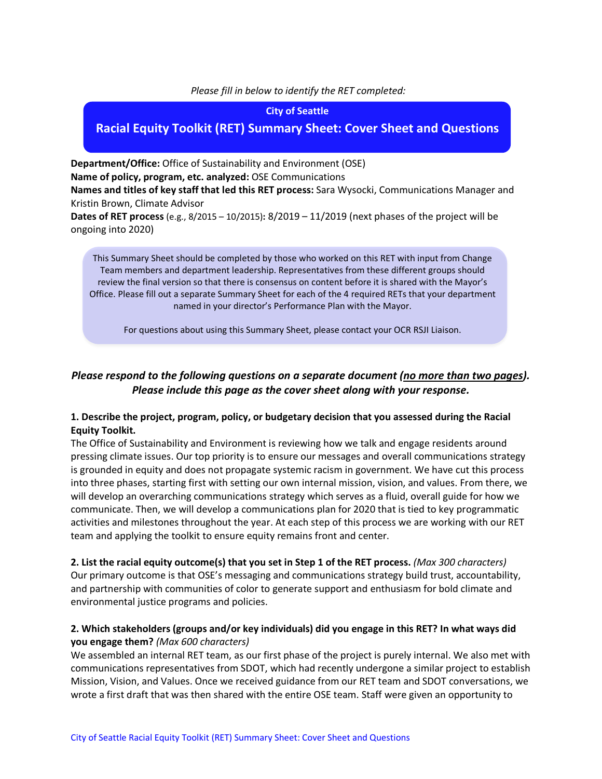#### *Please fill in below to identify the RET completed:*

#### **City of Seattle**

# **Racial Equity Toolkit (RET) Summary Sheet: Cover Sheet and Questions**

**Department/Office:** Office of Sustainability and Environment (OSE) **Name of policy, program, etc. analyzed:** OSE Communications

**Names and titles of key staff that led this RET process:** Sara Wysocki, Communications Manager and Kristin Brown, Climate Advisor

**Dates of RET process** (e.g., 8/2015 – 10/2015)**:** 8/2019 – 11/2019 (next phases of the project will be ongoing into 2020)

This Summary Sheet should be completed by those who worked on this RET with input from Change Team members and department leadership. Representatives from these different groups should review the final version so that there is consensus on content before it is shared with the Mayor's Office. Please fill out a separate Summary Sheet for each of the 4 required RETs that your department named in your director's Performance Plan with the Mayor.

For questions about using this Summary Sheet, please contact your OCR RSJI Liaison.

# *Please respond to the following questions on a separate document (no more than two pages). Please include this page as the cover sheet along with your response.*

#### **1. Describe the project, program, policy, or budgetary decision that you assessed during the Racial Equity Toolkit.**

The Office of Sustainability and Environment is reviewing how we talk and engage residents around pressing climate issues. Our top priority is to ensure our messages and overall communications strategy is grounded in equity and does not propagate systemic racism in government. We have cut this process into three phases, starting first with setting our own internal mission, vision, and values. From there, we will develop an overarching communications strategy which serves as a fluid, overall guide for how we communicate. Then, we will develop a communications plan for 2020 that is tied to key programmatic activities and milestones throughout the year. At each step of this process we are working with our RET team and applying the toolkit to ensure equity remains front and center.

**2. List the racial equity outcome(s) that you set in Step 1 of the RET process.** *(Max 300 characters)* Our primary outcome is that OSE's messaging and communications strategy build trust, accountability, and partnership with communities of color to generate support and enthusiasm for bold climate and environmental justice programs and policies.

## **2. Which stakeholders (groups and/or key individuals) did you engage in this RET? In what ways did you engage them?** *(Max 600 characters)*

We assembled an internal RET team, as our first phase of the project is purely internal. We also met with communications representatives from SDOT, which had recently undergone a similar project to establish Mission, Vision, and Values. Once we received guidance from our RET team and SDOT conversations, we wrote a first draft that was then shared with the entire OSE team. Staff were given an opportunity to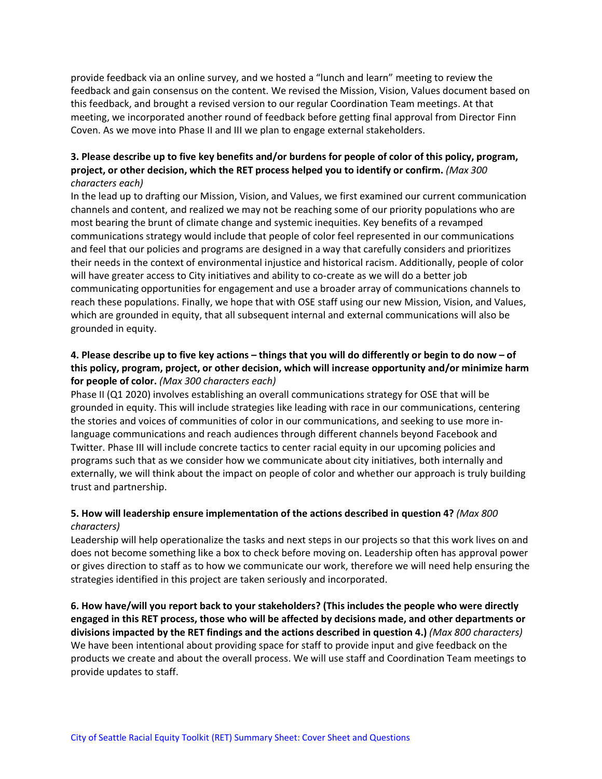provide feedback via an online survey, and we hosted a "lunch and learn" meeting to review the feedback and gain consensus on the content. We revised the Mission, Vision, Values document based on this feedback, and brought a revised version to our regular Coordination Team meetings. At that meeting, we incorporated another round of feedback before getting final approval from Director Finn Coven. As we move into Phase II and III we plan to engage external stakeholders.

## **3. Please describe up to five key benefits and/or burdens for people of color of this policy, program, project, or other decision, which the RET process helped you to identify or confirm.** *(Max 300 characters each)*

In the lead up to drafting our Mission, Vision, and Values, we first examined our current communication channels and content, and realized we may not be reaching some of our priority populations who are most bearing the brunt of climate change and systemic inequities. Key benefits of a revamped communications strategy would include that people of color feel represented in our communications and feel that our policies and programs are designed in a way that carefully considers and prioritizes their needs in the context of environmental injustice and historical racism. Additionally, people of color will have greater access to City initiatives and ability to co-create as we will do a better job communicating opportunities for engagement and use a broader array of communications channels to reach these populations. Finally, we hope that with OSE staff using our new Mission, Vision, and Values, which are grounded in equity, that all subsequent internal and external communications will also be grounded in equity.

## **4. Please describe up to five key actions – things that you will do differently or begin to do now – of this policy, program, project, or other decision, which will increase opportunity and/or minimize harm for people of color.** *(Max 300 characters each)*

Phase II (Q1 2020) involves establishing an overall communications strategy for OSE that will be grounded in equity. This will include strategies like leading with race in our communications, centering the stories and voices of communities of color in our communications, and seeking to use more inlanguage communications and reach audiences through different channels beyond Facebook and Twitter. Phase III will include concrete tactics to center racial equity in our upcoming policies and programs such that as we consider how we communicate about city initiatives, both internally and externally, we will think about the impact on people of color and whether our approach is truly building trust and partnership.

## **5. How will leadership ensure implementation of the actions described in question 4?** *(Max 800 characters)*

Leadership will help operationalize the tasks and next steps in our projects so that this work lives on and does not become something like a box to check before moving on. Leadership often has approval power or gives direction to staff as to how we communicate our work, therefore we will need help ensuring the strategies identified in this project are taken seriously and incorporated.

**6. How have/will you report back to your stakeholders? (This includes the people who were directly engaged in this RET process, those who will be affected by decisions made, and other departments or divisions impacted by the RET findings and the actions described in question 4.)** *(Max 800 characters)* We have been intentional about providing space for staff to provide input and give feedback on the products we create and about the overall process. We will use staff and Coordination Team meetings to provide updates to staff.